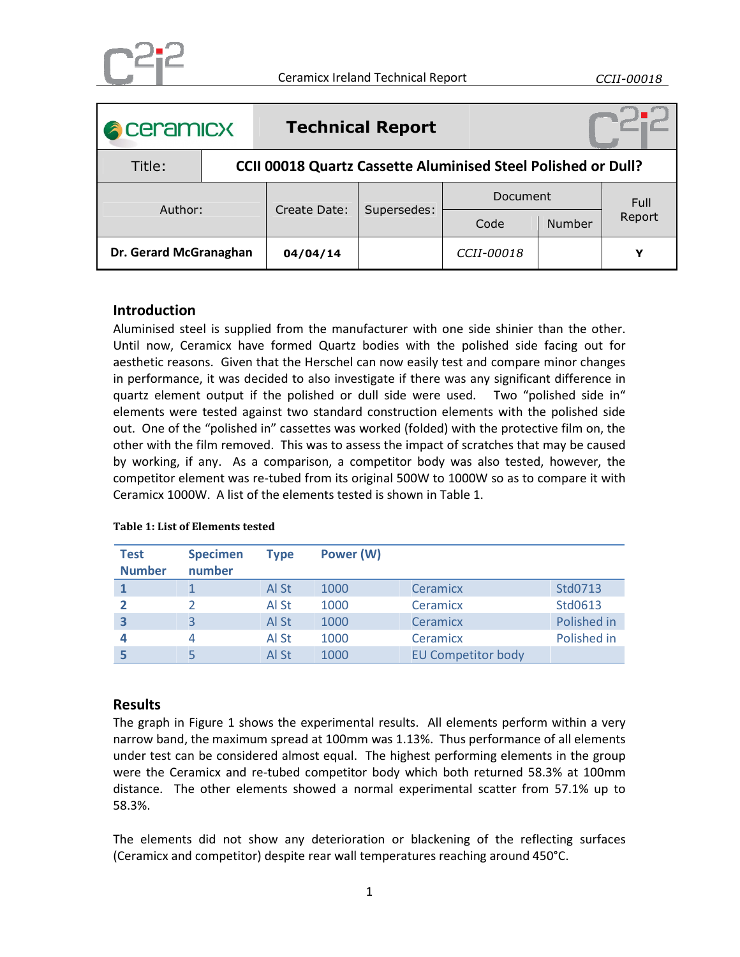

| <b>A</b> ceramicx      |                                                                      |              | <b>Technical Report</b> |                   |        |        |  |  |  |  |
|------------------------|----------------------------------------------------------------------|--------------|-------------------------|-------------------|--------|--------|--|--|--|--|
| Title:                 | <b>CCII 00018 Quartz Cassette Aluminised Steel Polished or Dull?</b> |              |                         |                   |        |        |  |  |  |  |
| Author:                |                                                                      | Create Date: | Supersedes:             | <b>Document</b>   |        | Full   |  |  |  |  |
|                        |                                                                      |              |                         | Code              | Number | Report |  |  |  |  |
| Dr. Gerard McGranaghan |                                                                      | 04/04/14     |                         | <i>CCII-00018</i> |        | v      |  |  |  |  |

## **Introduction**

Aluminised steel is supplied from the manufacturer with one side shinier than the other. Until now, Ceramicx have formed Quartz bodies with the polished side facing out for aesthetic reasons. Given that the Herschel can now easily test and compare minor changes in performance, it was decided to also investigate if there was any significant difference in quartz element output if the polished or dull side were used. Two "polished side in" elements were tested against two standard construction elements with the polished side out. One of the "polished in" cassettes was worked (folded) with the protective film on, the other with the film removed. This was to assess the impact of scratches that may be caused by working, if any. As a comparison, a competitor body was also tested, however, the competitor element was re-tubed from its original 500W to 1000W so as to compare it with Ceramicx 1000W. A list of the elements tested is shown in Table 1.

| <b>Test</b><br><b>Number</b> | <b>Specimen</b><br>number | Type  | Power (W) |                           |             |
|------------------------------|---------------------------|-------|-----------|---------------------------|-------------|
|                              |                           | Al St | 1000      | <b>Ceramicx</b>           | Std0713     |
|                              |                           | Al St | 1000      | Ceramicx                  | Std0613     |
| 3                            |                           | Al St | 1000      | Ceramicx                  | Polished in |
| 4                            |                           | Al St | 1000      | Ceramicx                  | Polished in |
|                              |                           | Al St | 1000      | <b>EU Competitor body</b> |             |

## **Table 1: List of Elements tested**

## **Results**

The graph in Figure 1 shows the experimental results. All elements perform within a very narrow band, the maximum spread at 100mm was 1.13%. Thus performance of all elements under test can be considered almost equal. The highest performing elements in the group were the Ceramicx and re-tubed competitor body which both returned 58.3% at 100mm distance. The other elements showed a normal experimental scatter from 57.1% up to 58.3%.

The elements did not show any deterioration or blackening of the reflecting surfaces (Ceramicx and competitor) despite rear wall temperatures reaching around 450°C.